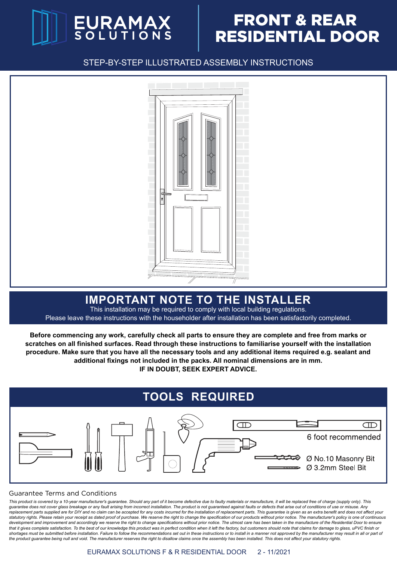

# FRONT & REAR RESIDENTIAL DOOR

STEP-BY-STEP ILLUSTRATED ASSEMBLY INSTRUCTIONS



#### **IMPORTANT NOTE TO THE INSTALLER**

This installation may be required to comply with local building regulations. Please leave these instructions with the householder after installation has been satisfactorily completed.

**Before commencing any work, carefully check all parts to ensure they are complete and free from marks or scratches on all finished surfaces. Read through these instructions to familiarise yourself with the installation procedure. Make sure that you have all the necessary tools and any additional items required e.g. sealant and additional fixings not included in the packs. All nominal dimensions are in mm. IF IN DOUBT, SEEK EXPERT ADVICE.**



#### Guarantee Terms and Conditions

This product is covered by a 10-year manufacturer's quarantee. Should any part of it become defective due to faulty materials or manufacture, it will be replaced free of charge (supply only). This guarantee does not cover glass breakage or any fault arising from incorrect installation. The product is not guaranteed against faults or defects that arise out of conditions of use or misuse. Any *replacement parts supplied are for DIY and no claim can be accepted for any costs incurred for the installation of replacement parts. This guarantee is given as an extra benefit and does not affect your statutory rights. Please retain your receipt as dated proof of purchase. We reserve the right to change the specification of our products without prior notice. The manufacturer's policy is one of continuous*  development and improvement and accordingly we reserve the right to change specifications without prior notice. The utmost care has been taken in the manufacture of the Residential Door to ensure that it gives complete satisfaction. To the best of our knowledge this product was in perfect condition when it left the factory, but customers should note that claims for damage to glass, uPVC finish or shortages must be submitted before installation. Failure to follow the recommendations set out in these instructions or to install in a manner not approved by the manufacturer may result in all or part of *the product guarantee being null and void. The manufacturer reserves the right to disallow claims once the assembly has been installed. This does not affect your statutory rights.*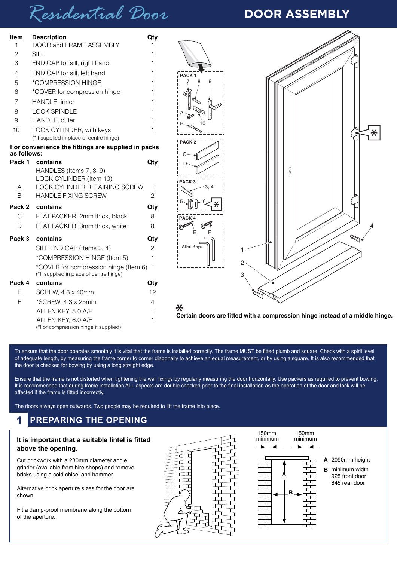# *Residential Door* **DOOR ASSEMBLY**

| <b>Item</b>  | <b>Description</b>                                                                 | Qty            |                                                                                        |
|--------------|------------------------------------------------------------------------------------|----------------|----------------------------------------------------------------------------------------|
| 1            | DOOR and FRAME ASSEMBLY                                                            |                |                                                                                        |
| 2            | <b>SILL</b>                                                                        |                |                                                                                        |
| 3            | END CAP for sill, right hand                                                       |                |                                                                                        |
| 4            | END CAP for sill, left hand                                                        |                | PACK <sub>1</sub>                                                                      |
| 5            | *COMPRESSION HINGE                                                                 |                |                                                                                        |
| 6            | *COVER for compression hinge                                                       |                |                                                                                        |
| 7            | HANDLE, inner                                                                      |                |                                                                                        |
| 8            | <b>LOCK SPINDLE</b>                                                                |                |                                                                                        |
| 9            | HANDLE, outer                                                                      |                |                                                                                        |
| 10           | LOCK CYLINDER, with keys<br>(*If supplied in place of centre hinge)                |                |                                                                                        |
|              | For convenience the fittings are supplied in packs                                 |                | PACK <sub>2</sub>                                                                      |
| as follows:  |                                                                                    |                |                                                                                        |
|              | Pack 1 contains                                                                    | Qty            |                                                                                        |
|              | HANDLES (Items 7, 8, 9)                                                            |                | 0                                                                                      |
| A            | LOCK CYLINDER (Item 10)<br>LOCK CYLINDER RETAINING SCREW                           | -1             | PACK <sub>3</sub>                                                                      |
| Β            | HANDLE FIXING SCREW                                                                | $\overline{c}$ |                                                                                        |
|              | Pack 2 contains                                                                    | Qty            |                                                                                        |
| $\mathsf{C}$ | FLAT PACKER, 2mm thick, black                                                      | 8              | PACK <sub>4</sub>                                                                      |
| D            | FLAT PACKER, 3mm thick, white                                                      | 8              |                                                                                        |
| Pack 3       | contains                                                                           | Qty            |                                                                                        |
|              | SILL END CAP (Items 3, 4)                                                          | $\overline{c}$ | Allen Keys                                                                             |
|              | *COMPRESSION HINGE (Item 5)                                                        | $\mathbf{1}$   | 2                                                                                      |
|              | *COVER for compression hinge (Item 6) 1<br>(*If supplied in place of centre hinge) |                | 3                                                                                      |
|              | Pack 4 contains                                                                    | Qty            |                                                                                        |
| $\mathsf E$  | SCREW, 4.3 x 40mm                                                                  | 12             |                                                                                        |
| F            | *SCREW, 4.3 x 25mm                                                                 | 4              |                                                                                        |
|              | ALLEN KEY, 5.0 A/F                                                                 |                | $\ast$<br>Certain doors are fitted with a compression hinge instead of a middle hinge. |
|              | ALLEN KEY, 6.0 A/F<br>(*For compression hinge if supplied)                         |                |                                                                                        |
|              |                                                                                    |                |                                                                                        |

To ensure that the door operates smoothly it is vital that the frame is installed correctly. The frame MUST be fitted plumb and square. Check with a spirit level of adequate length, by measuring the frame corner to corner diagonally to achieve an equal measurement, or by using a square. It is also recommended that the door is checked for bowing by using a long straight edge.

Ensure that the frame is not distorted when tightening the wall fixings by regularly measuring the door horizontally. Use packers as required to prevent bowing. It is recommended that during frame installation ALL aspects are double checked prior to the final installation as the operation of the door and lock will be affected if the frame is fitted incorrectly.

The doors always open outwards. Two people may be required to lift the frame into place.

#### **1 PREPARING THE OPENING**

#### **It is important that a suitable lintel is fitted above the opening.**

Cut brickwork with a 230mm diameter angle grinder (available from hire shops) and remove bricks using a cold chisel and hammer.

Alternative brick aperture sizes for the door are shown.

Fit a damp-proof membrane along the bottom of the aperture.





2090mm height **A**

**B** minimum width 925 front door 845 rear door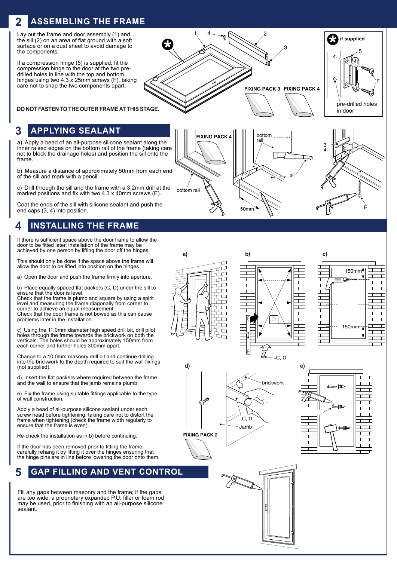#### **ASSEMBLING THE FRAME 2**

Lay out the frame and door assembly (1) and the sill (2) on an area of flat ground with a soft surface or on a dust sheet to avoid damage to the components.

If a compression hinge (5) is supplied, fit the compression hinge to the door at the two predrilled holes in line with the top and bottom hinges using two 4.3 x 25mm screws (F), taking care not to snap the two components apart.

**DO NOT FASTEN TO THE OUTER FRAME AT THIS STAGE.**

#### **3 APPLYING SEALANT**

a) Apply a bead of an all-purpose silicone sealant along the inner raised edges on the bottom rail of the frame (taking care not to block the drainage holes) and position the sill onto the frame.

b) Measure a distance of approximately 50mm from each end of the sill and mark with a pencil.

c) Drill through the sill and the frame with a 3.2mm drill at the marked positions and fix with two 4.3 x 40mm screws (E).

Coat the ends of the sill with silicone sealant and push the end caps (3, 4) into position.

#### **4 INSTALLING THE FRAME**

If there is sufficient space above the door frame to allow the door to be fitted later, installation of the frame may be achieved by one person by lifting the door off the hinges.

This should only be done if the space above the frame will allow the door to be lifted into position on the hinges.

a) Open the door and push the frame firmly into aperture.

b) Place equally spaced flat packers (C, D) under the sill to ensure that the door is level.

Check that the frame is plumb and square by using a spirit level and measuring the frame diagonally from corner to corner to achieve an equal measurement.

Check that the door frame is not bowed as this can cause problems later in the installation.

c) Using the 11.0mm diameter high speed drill bit, drill pilot holes through the frame towards the brickwork on both the verticals. The holes should be approximately 150mm from each corner and further holes 300mm apart.

Change to a 10.0mm masonry drill bit and continue drilling into the brickwork to the depth required to suit the wall fixings (not supplied).

d) Insert the flat packers where required between the frame and the wall to ensure that the jamb remains plumb.

Fix the frame using suitable fittings applicable to the type of wall construction.

Apply a bead of all-purpose silicone sealant under each screw head before tightening, taking care not to distort the frame when tightening (check the frame width regularly to ensure that the frame is even).

Re-check the installation as in b) before continuing.

If the door has been removed prior to fitting the frame, carefully rehang it by lifting it over the hinges ensuring that the hinge pins are in line before lowering the door onto them.

#### **5 GAP FILLING AND VENT CONTROL**

Fill any gaps between masonry and the frame; if the gaps are too wide, a proprietary expanded P.U. filler or foam rod may be used, prior to finishing with an all-purpose silicone sealant.



50 $n$ 







E

F